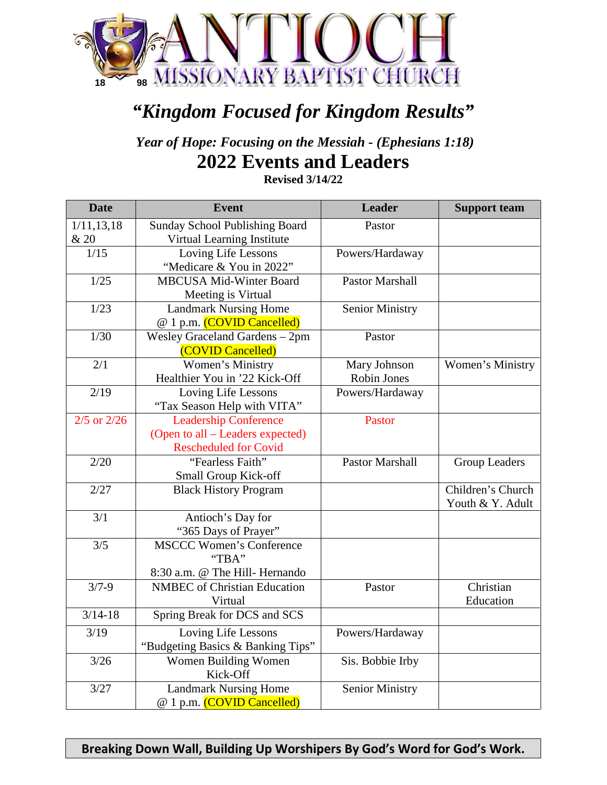

## *"Kingdom Focused for Kingdom Results"*

*Year of Hope: Focusing on the Messiah - (Ephesians 1:18)* **2022 Events and Leaders**

**Revised 3/14/22**

| <b>Date</b>     | <b>Event</b>                          | <b>Leader</b>          | <b>Support team</b>  |
|-----------------|---------------------------------------|------------------------|----------------------|
| 1/11, 13, 18    | <b>Sunday School Publishing Board</b> | Pastor                 |                      |
| & 20            | Virtual Learning Institute            |                        |                      |
| 1/15            | Loving Life Lessons                   | Powers/Hardaway        |                      |
|                 | "Medicare & You in 2022"              |                        |                      |
| 1/25            | <b>MBCUSA Mid-Winter Board</b>        | <b>Pastor Marshall</b> |                      |
|                 | Meeting is Virtual                    |                        |                      |
| 1/23            | <b>Landmark Nursing Home</b>          | <b>Senior Ministry</b> |                      |
|                 | @ 1 p.m. (COVID Cancelled)            |                        |                      |
| 1/30            | Wesley Graceland Gardens - 2pm        | Pastor                 |                      |
|                 | (COVID Cancelled)                     |                        |                      |
| 2/1             | Women's Ministry                      | Mary Johnson           | Women's Ministry     |
|                 | Healthier You in '22 Kick-Off         | <b>Robin Jones</b>     |                      |
| 2/19            | Loving Life Lessons                   | Powers/Hardaway        |                      |
|                 | "Tax Season Help with VITA"           |                        |                      |
| $2/5$ or $2/26$ | <b>Leadership Conference</b>          | Pastor                 |                      |
|                 | (Open to all – Leaders expected)      |                        |                      |
|                 | <b>Rescheduled for Covid</b>          |                        |                      |
| 2/20            | "Fearless Faith"                      | <b>Pastor Marshall</b> | <b>Group Leaders</b> |
|                 | Small Group Kick-off                  |                        |                      |
| 2/27            | <b>Black History Program</b>          |                        | Children's Church    |
|                 |                                       |                        | Youth & Y. Adult     |
| 3/1             | Antioch's Day for                     |                        |                      |
|                 | "365 Days of Prayer"                  |                        |                      |
| 3/5             | <b>MSCCC Women's Conference</b>       |                        |                      |
|                 | "TBA"                                 |                        |                      |
|                 | 8:30 a.m. @ The Hill- Hernando        |                        |                      |
| $3/7 - 9$       | <b>NMBEC</b> of Christian Education   | Pastor                 | Christian            |
|                 | Virtual                               |                        | Education            |
| $3/14 - 18$     | Spring Break for DCS and SCS          |                        |                      |
| 3/19            | Loving Life Lessons                   | Powers/Hardaway        |                      |
|                 | "Budgeting Basics & Banking Tips"     |                        |                      |
| $3/26$          | Women Building Women                  | Sis. Bobbie Irby       |                      |
|                 | Kick-Off                              |                        |                      |
| 3/27            | <b>Landmark Nursing Home</b>          | <b>Senior Ministry</b> |                      |
|                 | @ 1 p.m. (COVID Cancelled)            |                        |                      |

**Breaking Down Wall, Building Up Worshipers By God's Word for God's Work.**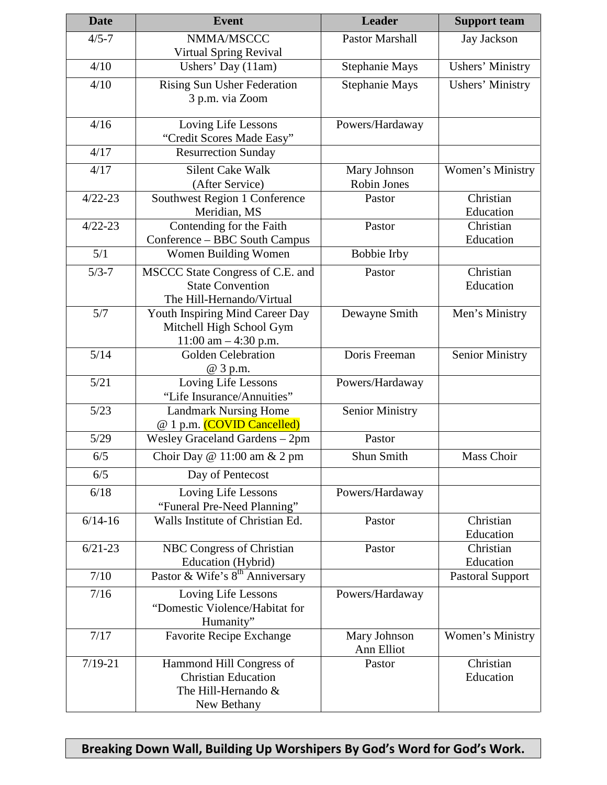| <b>Date</b> | <b>Event</b>                                       | <b>Leader</b>          | <b>Support team</b>     |
|-------------|----------------------------------------------------|------------------------|-------------------------|
| $4/5 - 7$   | NMMA/MSCCC                                         | <b>Pastor Marshall</b> | Jay Jackson             |
|             | Virtual Spring Revival                             |                        |                         |
| 4/10        | Ushers' Day (11am)                                 | <b>Stephanie Mays</b>  | <b>Ushers' Ministry</b> |
| 4/10        | <b>Rising Sun Usher Federation</b>                 | Stephanie Mays         | <b>Ushers' Ministry</b> |
|             | 3 p.m. via Zoom                                    |                        |                         |
|             |                                                    |                        |                         |
| 4/16        | Loving Life Lessons                                | Powers/Hardaway        |                         |
|             | "Credit Scores Made Easy"                          |                        |                         |
| 4/17        | <b>Resurrection Sunday</b>                         |                        |                         |
| 4/17        | <b>Silent Cake Walk</b>                            | Mary Johnson           | Women's Ministry        |
|             | (After Service)                                    | Robin Jones            |                         |
| $4/22 - 23$ | Southwest Region 1 Conference                      | Pastor                 | Christian               |
|             | Meridian, MS                                       |                        | Education               |
| $4/22 - 23$ | Contending for the Faith                           | Pastor                 | Christian               |
|             | Conference - BBC South Campus                      |                        | Education               |
| 5/1         | Women Building Women                               | <b>Bobbie Irby</b>     |                         |
| $5/3 - 7$   | MSCCC State Congress of C.E. and                   | Pastor                 | Christian               |
|             | <b>State Convention</b>                            |                        | Education               |
|             | The Hill-Hernando/Virtual                          |                        |                         |
| 5/7         | Youth Inspiring Mind Career Day                    | Dewayne Smith          | Men's Ministry          |
|             | Mitchell High School Gym<br>11:00 am $-$ 4:30 p.m. |                        |                         |
| 5/14        | Golden Celebration                                 | Doris Freeman          | <b>Senior Ministry</b>  |
|             | @ 3 p.m.                                           |                        |                         |
| 5/21        | Loving Life Lessons                                | Powers/Hardaway        |                         |
|             | "Life Insurance/Annuities"                         |                        |                         |
| 5/23        | <b>Landmark Nursing Home</b>                       | <b>Senior Ministry</b> |                         |
|             | @ 1 p.m. (COVID Cancelled)                         |                        |                         |
| $5/29$      | Wesley Graceland Gardens - 2pm                     | Pastor                 |                         |
| 6/5         | Choir Day @ 11:00 am & 2 pm                        | Shun Smith             | Mass Choir              |
| 6/5         | Day of Pentecost                                   |                        |                         |
| 6/18        | Loving Life Lessons                                | Powers/Hardaway        |                         |
|             | "Funeral Pre-Need Planning"                        |                        |                         |
| $6/14 - 16$ | Walls Institute of Christian Ed.                   | Pastor                 | Christian               |
|             |                                                    |                        | Education               |
| $6/21-23$   | NBC Congress of Christian                          | Pastor                 | Christian               |
|             | Education (Hybrid)                                 |                        | Education               |
| 7/10        | Pastor & Wife's 8 <sup>th</sup> Anniversary        |                        | <b>Pastoral Support</b> |
| 7/16        | Loving Life Lessons                                | Powers/Hardaway        |                         |
|             | "Domestic Violence/Habitat for                     |                        |                         |
|             | Humanity"                                          |                        |                         |
| 7/17        | <b>Favorite Recipe Exchange</b>                    | Mary Johnson           | Women's Ministry        |
|             |                                                    | Ann Elliot             |                         |
| $7/19 - 21$ | Hammond Hill Congress of                           | Pastor                 | Christian               |
|             | <b>Christian Education</b>                         |                        | Education               |
|             | The Hill-Hernando &                                |                        |                         |
|             | New Bethany                                        |                        |                         |

**Breaking Down Wall, Building Up Worshipers By God's Word for God's Work.**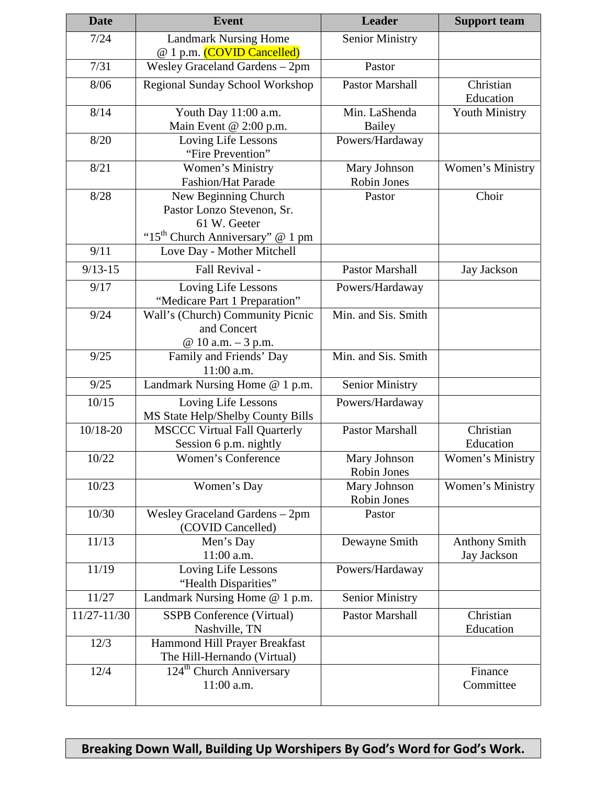| <b>Date</b> | <b>Event</b>                                       | <b>Leader</b>          | <b>Support team</b>  |
|-------------|----------------------------------------------------|------------------------|----------------------|
| 7/24        | <b>Landmark Nursing Home</b>                       | <b>Senior Ministry</b> |                      |
|             | @ 1 p.m. (COVID Cancelled)                         |                        |                      |
| 7/31        | Wesley Graceland Gardens - 2pm                     | Pastor                 |                      |
| 8/06        | Regional Sunday School Workshop                    | <b>Pastor Marshall</b> | Christian            |
|             |                                                    |                        | Education            |
| 8/14        | Youth Day 11:00 a.m.                               | Min. LaShenda          | Youth Ministry       |
|             | Main Event @ 2:00 p.m.                             | <b>Bailey</b>          |                      |
| 8/20        | Loving Life Lessons                                | Powers/Hardaway        |                      |
|             | "Fire Prevention"                                  |                        |                      |
| 8/21        | Women's Ministry                                   | Mary Johnson           | Women's Ministry     |
|             | <b>Fashion/Hat Parade</b>                          | Robin Jones            |                      |
| 8/28        | New Beginning Church                               | Pastor                 | Choir                |
|             | Pastor Lonzo Stevenon, Sr.                         |                        |                      |
|             | 61 W. Geeter                                       |                        |                      |
|             | "15 <sup>th</sup> Church Anniversary" @ 1 pm       |                        |                      |
| 9/11        | Love Day - Mother Mitchell                         |                        |                      |
| $9/13 - 15$ | Fall Revival -                                     | Pastor Marshall        | <b>Jay Jackson</b>   |
| 9/17        | Loving Life Lessons                                | Powers/Hardaway        |                      |
|             | "Medicare Part 1 Preparation"                      |                        |                      |
| 9/24        | Wall's (Church) Community Picnic                   | Min. and Sis. Smith    |                      |
|             | and Concert                                        |                        |                      |
|             | @ 10 a.m. - 3 p.m.                                 |                        |                      |
| 9/25        | Family and Friends' Day                            | Min. and Sis. Smith    |                      |
|             | 11:00 a.m.                                         |                        |                      |
| 9/25        | Landmark Nursing Home @ 1 p.m.                     | <b>Senior Ministry</b> |                      |
| 10/15       | Loving Life Lessons                                | Powers/Hardaway        |                      |
|             | MS State Help/Shelby County Bills                  |                        |                      |
| 10/18-20    | <b>MSCCC Virtual Fall Quarterly</b>                | <b>Pastor Marshall</b> | Christian            |
|             | Session 6 p.m. nightly                             |                        | Education            |
| 10/22       | Women's Conference                                 | Mary Johnson           | Women's Ministry     |
|             |                                                    | Robin Jones            |                      |
| 10/23       | Women's Day                                        | Mary Johnson           | Women's Ministry     |
|             |                                                    | Robin Jones            |                      |
| 10/30       | Wesley Graceland Gardens - 2pm                     | Pastor                 |                      |
|             | (COVID Cancelled)                                  |                        |                      |
| 11/13       | Men's Day                                          | Dewayne Smith          | <b>Anthony Smith</b> |
|             | 11:00 a.m.                                         |                        | Jay Jackson          |
| 11/19       | Loving Life Lessons                                | Powers/Hardaway        |                      |
|             | "Health Disparities"                               |                        |                      |
| 11/27       | Landmark Nursing Home @ 1 p.m.                     | <b>Senior Ministry</b> |                      |
| 11/27-11/30 | <b>SSPB</b> Conference (Virtual)                   | <b>Pastor Marshall</b> | Christian            |
|             | Nashville, TN                                      |                        | Education            |
| 12/3        | Hammond Hill Prayer Breakfast                      |                        |                      |
|             | The Hill-Hernando (Virtual)                        |                        |                      |
| 12/4        | 124 <sup>th</sup> Church Anniversary<br>11:00 a.m. |                        | Finance<br>Committee |
|             |                                                    |                        |                      |

**Breaking Down Wall, Building Up Worshipers By God's Word for God's Work.**